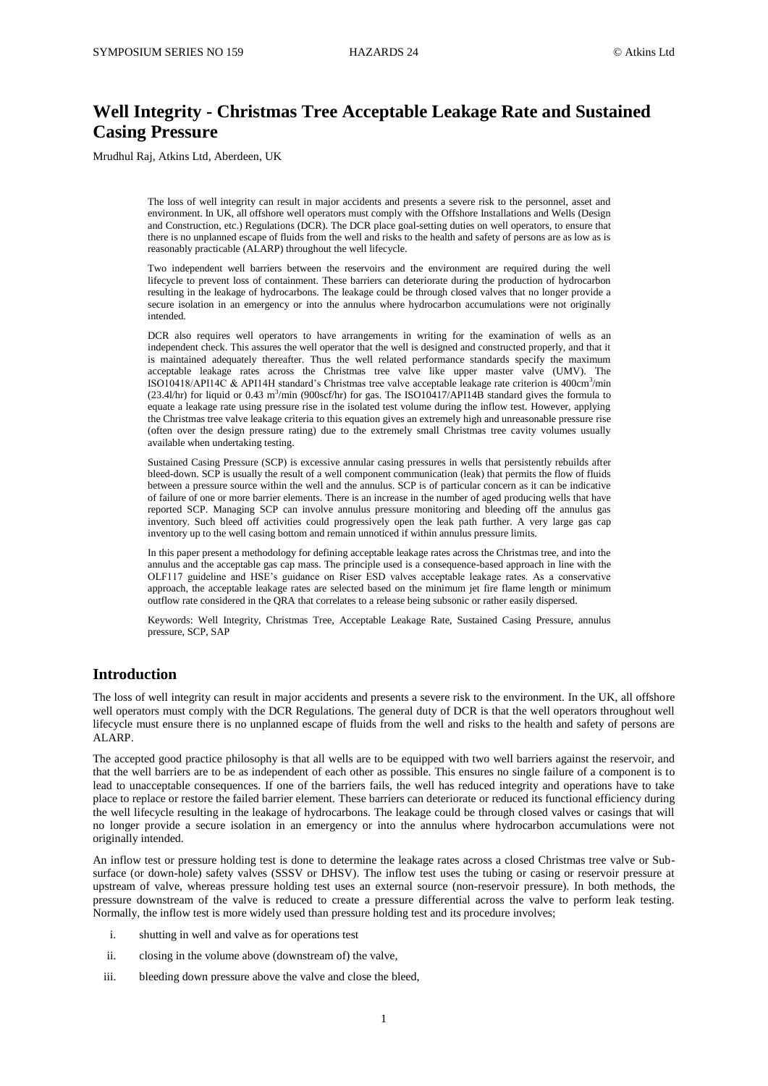# **Well Integrity - Christmas Tree Acceptable Leakage Rate and Sustained Casing Pressure**

Mrudhul Raj, Atkins Ltd, Aberdeen, UK

The loss of well integrity can result in major accidents and presents a severe risk to the personnel, asset and environment. In UK, all offshore well operators must comply with the Offshore Installations and Wells (Design and Construction, etc.) Regulations (DCR). The DCR place goal-setting duties on well operators, to ensure that there is no unplanned escape of fluids from the well and risks to the health and safety of persons are as low as is reasonably practicable (ALARP) throughout the well lifecycle.

Two independent well barriers between the reservoirs and the environment are required during the well lifecycle to prevent loss of containment. These barriers can deteriorate during the production of hydrocarbon resulting in the leakage of hydrocarbons. The leakage could be through closed valves that no longer provide a secure isolation in an emergency or into the annulus where hydrocarbon accumulations were not originally intended.

DCR also requires well operators to have arrangements in writing for the examination of wells as an independent check. This assures the well operator that the well is designed and constructed properly, and that it is maintained adequately thereafter. Thus the well related performance standards specify the maximum acceptable leakage rates across the Christmas tree valve like upper master valve (UMV). The ISO10418/API14C & API14H standard's Christmas tree valve acceptable leakage rate criterion is 400cm<sup>3</sup>/min  $(23.41/hr)$  for liquid or 0.43 m<sup>3</sup>/min (900scf/hr) for gas. The ISO10417/API14B standard gives the formula to equate a leakage rate using pressure rise in the isolated test volume during the inflow test. However, applying the Christmas tree valve leakage criteria to this equation gives an extremely high and unreasonable pressure rise (often over the design pressure rating) due to the extremely small Christmas tree cavity volumes usually available when undertaking testing.

Sustained Casing Pressure (SCP) is excessive annular casing pressures in wells that persistently rebuilds after bleed-down. SCP is usually the result of a well component communication (leak) that permits the flow of fluids between a pressure source within the well and the annulus. SCP is of particular concern as it can be indicative of failure of one or more barrier elements. There is an increase in the number of aged producing wells that have reported SCP. Managing SCP can involve annulus pressure monitoring and bleeding off the annulus gas inventory. Such bleed off activities could progressively open the leak path further. A very large gas cap inventory up to the well casing bottom and remain unnoticed if within annulus pressure limits.

In this paper present a methodology for defining acceptable leakage rates across the Christmas tree, and into the annulus and the acceptable gas cap mass. The principle used is a consequence-based approach in line with the OLF117 guideline and HSE's guidance on Riser ESD valves acceptable leakage rates. As a conservative approach, the acceptable leakage rates are selected based on the minimum jet fire flame length or minimum outflow rate considered in the QRA that correlates to a release being subsonic or rather easily dispersed.

Keywords: Well Integrity, Christmas Tree, Acceptable Leakage Rate, Sustained Casing Pressure, annulus pressure, SCP, SAP

# **Introduction**

The loss of well integrity can result in major accidents and presents a severe risk to the environment. In the UK, all offshore well operators must comply with the DCR Regulations. The general duty of DCR is that the well operators throughout well lifecycle must ensure there is no unplanned escape of fluids from the well and risks to the health and safety of persons are ALARP.

The accepted good practice philosophy is that all wells are to be equipped with two well barriers against the reservoir, and that the well barriers are to be as independent of each other as possible. This ensures no single failure of a component is to lead to unacceptable consequences. If one of the barriers fails, the well has reduced integrity and operations have to take place to replace or restore the failed barrier element. These barriers can deteriorate or reduced its functional efficiency during the well lifecycle resulting in the leakage of hydrocarbons. The leakage could be through closed valves or casings that will no longer provide a secure isolation in an emergency or into the annulus where hydrocarbon accumulations were not originally intended.

An inflow test or pressure holding test is done to determine the leakage rates across a closed Christmas tree valve or Subsurface (or down-hole) safety valves (SSSV or DHSV). The inflow test uses the tubing or casing or reservoir pressure at upstream of valve, whereas pressure holding test uses an external source (non-reservoir pressure). In both methods, the pressure downstream of the valve is reduced to create a pressure differential across the valve to perform leak testing. Normally, the inflow test is more widely used than pressure holding test and its procedure involves;

- i. shutting in well and valve as for operations test
- ii. closing in the volume above (downstream of) the valve,
- iii. bleeding down pressure above the valve and close the bleed,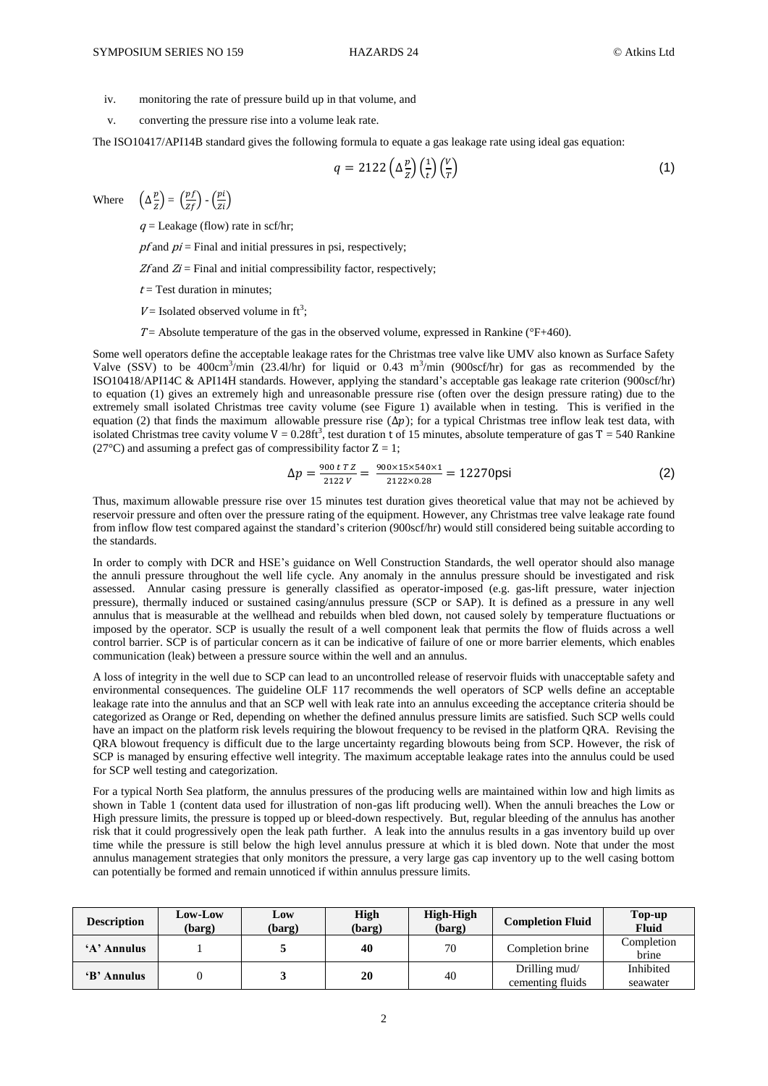- iv. monitoring the rate of pressure build up in that volume, and
- v. converting the pressure rise into a volume leak rate.

The ISO10417/API14B standard gives the following formula to equate a gas leakage rate using ideal gas equation:

$$
q = 2122 \left( \Delta \frac{p}{z} \right) \left( \frac{1}{t} \right) \left( \frac{V}{T} \right) \tag{1}
$$

Where  $\overline{p}$  $\left(\frac{p}{z}\right) = \left(\frac{pf}{zf}\right) - \left(\frac{p}{z}\right)$ Z

 $q =$  Leakage (flow) rate in scf/hr;

 $pf$  and  $pi$  = Final and initial pressures in psi, respectively;

 $Zf$  and  $Zi$  = Final and initial compressibility factor, respectively;

 $t = Test$  duration in minutes;

 $V =$  Isolated observed volume in ft<sup>3</sup>;

 $T=$  Absolute temperature of the gas in the observed volume, expressed in Rankine ( $\degree$ F+460).

Some well operators define the acceptable leakage rates for the Christmas tree valve like UMV also known as Surface Safety Valve (SSV) to be 400cm<sup>3</sup>/min (23.4l/hr) for liquid or 0.43 m<sup>3</sup>/min (900scf/hr) for gas as recommended by the ISO10418/API14C & API14H standards. However, applying the standard's acceptable gas leakage rate criterion (900scf/hr) to equation (1) gives an extremely high and unreasonable pressure rise (often over the design pressure rating) due to the extremely small isolated Christmas tree cavity volume (see Figure 1) available when in testing. This is verified in the equation (2) that finds the maximum allowable pressure rise  $(\Delta p)$ ; for a typical Christmas tree inflow leak test data, with isolated Christmas tree cavity volume  $V = 0.28 \text{ft}^3$ , test duration t of 15 minutes, absolute temperature of gas T = 540 Rankine (27 $^{\circ}$ C) and assuming a prefect gas of compressibility factor  $Z = 1$ ;

$$
\Delta p = \frac{900 \text{ t} \text{ T} \text{ Z}}{2122 \text{ V}} = \frac{900 \times 15 \times 540 \times 1}{2122 \times 0.28} = 12270 \text{psi}
$$
 (2)

Thus, maximum allowable pressure rise over 15 minutes test duration gives theoretical value that may not be achieved by reservoir pressure and often over the pressure rating of the equipment. However, any Christmas tree valve leakage rate found from inflow flow test compared against the standard's criterion (900scf/hr) would still considered being suitable according to the standards.

In order to comply with DCR and HSE's guidance on Well Construction Standards, the well operator should also manage the annuli pressure throughout the well life cycle. Any anomaly in the annulus pressure should be investigated and risk assessed. Annular casing pressure is generally classified as operator-imposed (e.g. gas-lift pressure, water injection pressure), thermally induced or sustained casing/annulus pressure (SCP or SAP). It is defined as a pressure in any well annulus that is measurable at the wellhead and rebuilds when bled down, not caused solely by temperature fluctuations or imposed by the operator. SCP is usually the result of a well component leak that permits the flow of fluids across a well control barrier. SCP is of particular concern as it can be indicative of failure of one or more barrier elements, which enables communication (leak) between a pressure source within the well and an annulus.

A loss of integrity in the well due to SCP can lead to an uncontrolled release of reservoir fluids with unacceptable safety and environmental consequences. The guideline OLF 117 recommends the well operators of SCP wells define an acceptable leakage rate into the annulus and that an SCP well with leak rate into an annulus exceeding the acceptance criteria should be categorized as Orange or Red, depending on whether the defined annulus pressure limits are satisfied. Such SCP wells could have an impact on the platform risk levels requiring the blowout frequency to be revised in the platform QRA. Revising the QRA blowout frequency is difficult due to the large uncertainty regarding blowouts being from SCP. However, the risk of SCP is managed by ensuring effective well integrity. The maximum acceptable leakage rates into the annulus could be used for SCP well testing and categorization.

For a typical North Sea platform, the annulus pressures of the producing wells are maintained within low and high limits as shown in Table 1 (content data used for illustration of non-gas lift producing well). When the annuli breaches the Low or High pressure limits, the pressure is topped up or bleed-down respectively. But, regular bleeding of the annulus has another risk that it could progressively open the leak path further. A leak into the annulus results in a gas inventory build up over time while the pressure is still below the high level annulus pressure at which it is bled down. Note that under the most annulus management strategies that only monitors the pressure, a very large gas cap inventory up to the well casing bottom can potentially be formed and remain unnoticed if within annulus pressure limits.

| <b>Description</b> | Low-Low<br>(barg) | Low<br>(barg) | <b>High</b><br>(barg) | High-High<br>(barg) | <b>Completion Fluid</b>           | Top-up<br><b>Fluid</b> |
|--------------------|-------------------|---------------|-----------------------|---------------------|-----------------------------------|------------------------|
| 'A' Annulus        |                   |               | 40                    | 70                  | Completion brine                  | Completion<br>brine    |
| 'B' Annulus        |                   |               | 20                    | 40                  | Drilling mud/<br>cementing fluids | Inhibited<br>seawater  |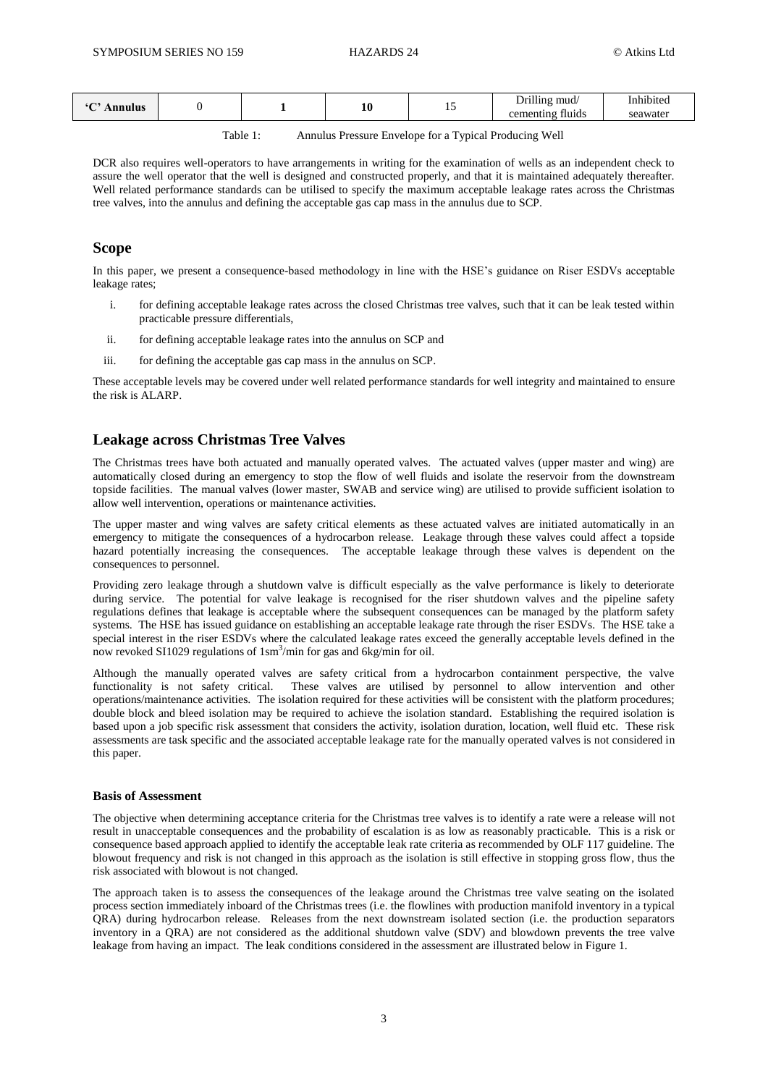|  | <br>ılus |  |  | πn | $\overline{\phantom{a}}$ | $\sim$ $\sim$ $\sim$<br>mud/<br>------<br><b><i><u>Property</u></i></b><br>$\sim$<br>$\sim$ $\sim$ $+$ $\sim$ $+$ $\sim$<br>fluíds | $\cdot$ .<br>10116<br>awate |
|--|----------|--|--|----|--------------------------|------------------------------------------------------------------------------------------------------------------------------------|-----------------------------|
|--|----------|--|--|----|--------------------------|------------------------------------------------------------------------------------------------------------------------------------|-----------------------------|

Table 1: Annulus Pressure Envelope for a Typical Producing Well

DCR also requires well-operators to have arrangements in writing for the examination of wells as an independent check to assure the well operator that the well is designed and constructed properly, and that it is maintained adequately thereafter. Well related performance standards can be utilised to specify the maximum acceptable leakage rates across the Christmas tree valves, into the annulus and defining the acceptable gas cap mass in the annulus due to SCP.

# **Scope**

In this paper, we present a consequence-based methodology in line with the HSE's guidance on Riser ESDVs acceptable leakage rates;

- i. for defining acceptable leakage rates across the closed Christmas tree valves, such that it can be leak tested within practicable pressure differentials,
- ii. for defining acceptable leakage rates into the annulus on SCP and
- iii. for defining the acceptable gas cap mass in the annulus on SCP.

These acceptable levels may be covered under well related performance standards for well integrity and maintained to ensure the risk is ALARP.

# **Leakage across Christmas Tree Valves**

The Christmas trees have both actuated and manually operated valves. The actuated valves (upper master and wing) are automatically closed during an emergency to stop the flow of well fluids and isolate the reservoir from the downstream topside facilities. The manual valves (lower master, SWAB and service wing) are utilised to provide sufficient isolation to allow well intervention, operations or maintenance activities.

The upper master and wing valves are safety critical elements as these actuated valves are initiated automatically in an emergency to mitigate the consequences of a hydrocarbon release. Leakage through these valves could affect a topside hazard potentially increasing the consequences. The acceptable leakage through these valves is dependent on the consequences to personnel.

Providing zero leakage through a shutdown valve is difficult especially as the valve performance is likely to deteriorate during service. The potential for valve leakage is recognised for the riser shutdown valves and the pipeline safety regulations defines that leakage is acceptable where the subsequent consequences can be managed by the platform safety systems. The HSE has issued guidance on establishing an acceptable leakage rate through the riser ESDVs. The HSE take a special interest in the riser ESDVs where the calculated leakage rates exceed the generally acceptable levels defined in the now revoked SI1029 regulations of 1sm<sup>3</sup>/min for gas and 6kg/min for oil.

Although the manually operated valves are safety critical from a hydrocarbon containment perspective, the valve functionality is not safety critical. These valves are utilised by personnel to allow intervention and other operations/maintenance activities. The isolation required for these activities will be consistent with the platform procedures; double block and bleed isolation may be required to achieve the isolation standard. Establishing the required isolation is based upon a job specific risk assessment that considers the activity, isolation duration, location, well fluid etc. These risk assessments are task specific and the associated acceptable leakage rate for the manually operated valves is not considered in this paper.

## **Basis of Assessment**

The objective when determining acceptance criteria for the Christmas tree valves is to identify a rate were a release will not result in unacceptable consequences and the probability of escalation is as low as reasonably practicable. This is a risk or consequence based approach applied to identify the acceptable leak rate criteria as recommended by OLF 117 guideline. The blowout frequency and risk is not changed in this approach as the isolation is still effective in stopping gross flow, thus the risk associated with blowout is not changed.

The approach taken is to assess the consequences of the leakage around the Christmas tree valve seating on the isolated process section immediately inboard of the Christmas trees (i.e. the flowlines with production manifold inventory in a typical QRA) during hydrocarbon release. Releases from the next downstream isolated section (i.e. the production separators inventory in a QRA) are not considered as the additional shutdown valve (SDV) and blowdown prevents the tree valve leakage from having an impact. The leak conditions considered in the assessment are illustrated below in Figure 1.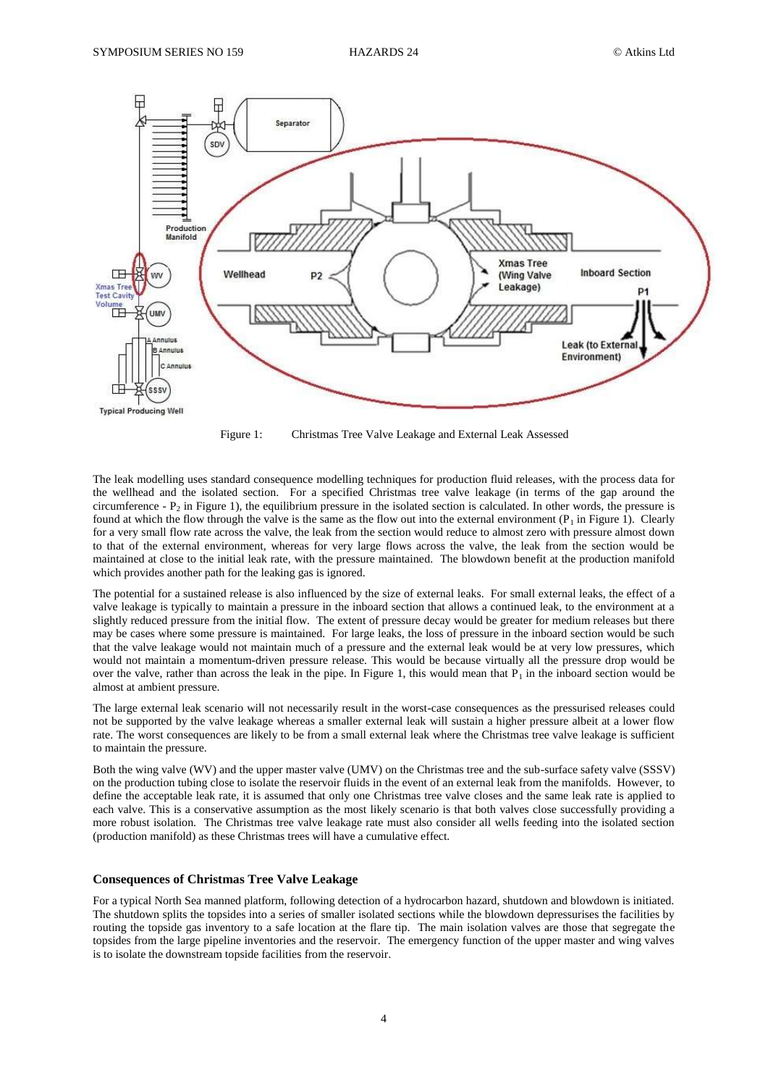

Figure 1: Christmas Tree Valve Leakage and External Leak Assessed

The leak modelling uses standard consequence modelling techniques for production fluid releases, with the process data for the wellhead and the isolated section. For a specified Christmas tree valve leakage (in terms of the gap around the circumference -  $P_2$  in Figure 1), the equilibrium pressure in the isolated section is calculated. In other words, the pressure is found at which the flow through the valve is the same as the flow out into the external environment  $(P_1$  in Figure 1). Clearly for a very small flow rate across the valve, the leak from the section would reduce to almost zero with pressure almost down to that of the external environment, whereas for very large flows across the valve, the leak from the section would be maintained at close to the initial leak rate, with the pressure maintained. The blowdown benefit at the production manifold which provides another path for the leaking gas is ignored.

The potential for a sustained release is also influenced by the size of external leaks. For small external leaks, the effect of a valve leakage is typically to maintain a pressure in the inboard section that allows a continued leak, to the environment at a slightly reduced pressure from the initial flow. The extent of pressure decay would be greater for medium releases but there may be cases where some pressure is maintained. For large leaks, the loss of pressure in the inboard section would be such that the valve leakage would not maintain much of a pressure and the external leak would be at very low pressures, which would not maintain a momentum-driven pressure release. This would be because virtually all the pressure drop would be over the valve, rather than across the leak in the pipe. In Figure 1, this would mean that  $P_1$  in the inboard section would be almost at ambient pressure.

The large external leak scenario will not necessarily result in the worst-case consequences as the pressurised releases could not be supported by the valve leakage whereas a smaller external leak will sustain a higher pressure albeit at a lower flow rate. The worst consequences are likely to be from a small external leak where the Christmas tree valve leakage is sufficient to maintain the pressure.

Both the wing valve (WV) and the upper master valve (UMV) on the Christmas tree and the sub-surface safety valve (SSSV) on the production tubing close to isolate the reservoir fluids in the event of an external leak from the manifolds. However, to define the acceptable leak rate, it is assumed that only one Christmas tree valve closes and the same leak rate is applied to each valve. This is a conservative assumption as the most likely scenario is that both valves close successfully providing a more robust isolation. The Christmas tree valve leakage rate must also consider all wells feeding into the isolated section (production manifold) as these Christmas trees will have a cumulative effect.

## **Consequences of Christmas Tree Valve Leakage**

For a typical North Sea manned platform, following detection of a hydrocarbon hazard, shutdown and blowdown is initiated. The shutdown splits the topsides into a series of smaller isolated sections while the blowdown depressurises the facilities by routing the topside gas inventory to a safe location at the flare tip. The main isolation valves are those that segregate the topsides from the large pipeline inventories and the reservoir. The emergency function of the upper master and wing valves is to isolate the downstream topside facilities from the reservoir.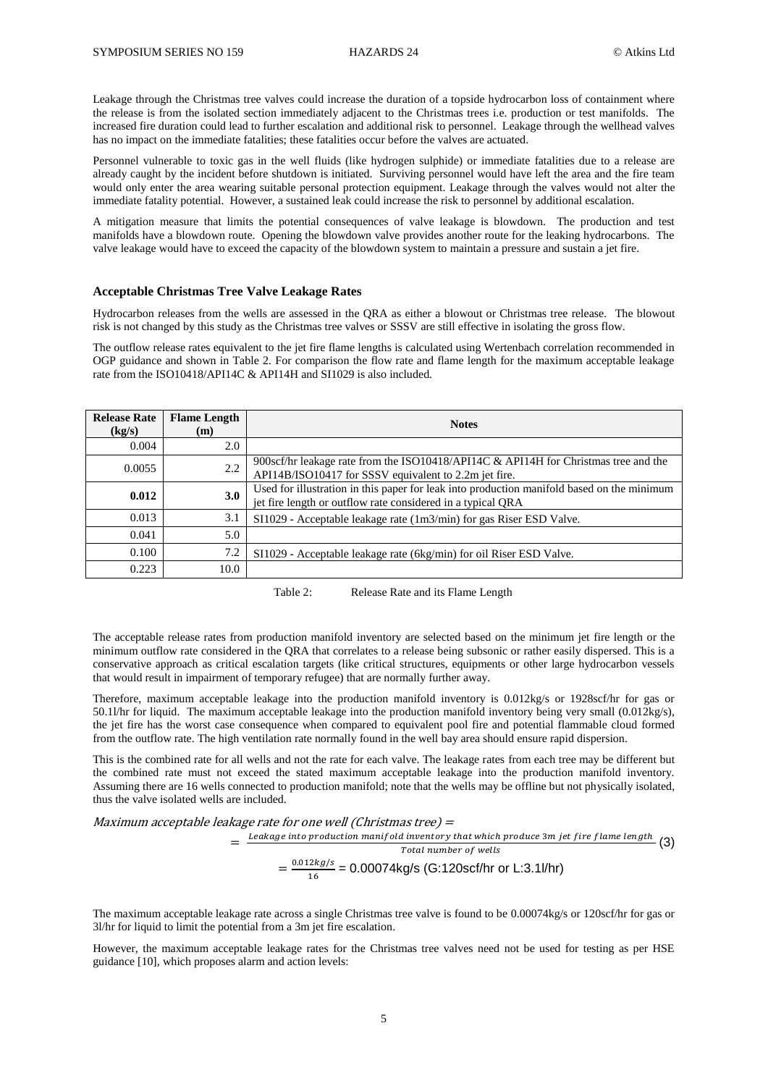Leakage through the Christmas tree valves could increase the duration of a topside hydrocarbon loss of containment where the release is from the isolated section immediately adjacent to the Christmas trees i.e. production or test manifolds. The increased fire duration could lead to further escalation and additional risk to personnel. Leakage through the wellhead valves has no impact on the immediate fatalities; these fatalities occur before the valves are actuated.

Personnel vulnerable to toxic gas in the well fluids (like hydrogen sulphide) or immediate fatalities due to a release are already caught by the incident before shutdown is initiated. Surviving personnel would have left the area and the fire team would only enter the area wearing suitable personal protection equipment. Leakage through the valves would not alter the immediate fatality potential. However, a sustained leak could increase the risk to personnel by additional escalation.

A mitigation measure that limits the potential consequences of valve leakage is blowdown. The production and test manifolds have a blowdown route. Opening the blowdown valve provides another route for the leaking hydrocarbons. The valve leakage would have to exceed the capacity of the blowdown system to maintain a pressure and sustain a jet fire.

#### **Acceptable Christmas Tree Valve Leakage Rates**

Hydrocarbon releases from the wells are assessed in the QRA as either a blowout or Christmas tree release. The blowout risk is not changed by this study as the Christmas tree valves or SSSV are still effective in isolating the gross flow.

The outflow release rates equivalent to the jet fire flame lengths is calculated using Wertenbach correlation recommended in OGP guidance and shown in Table 2. For comparison the flow rate and flame length for the maximum acceptable leakage rate from the ISO10418/API14C & API14H and SI1029 is also included.

| <b>Release Rate</b><br>(kg/s) | <b>Flame Length</b><br>(m) | <b>Notes</b>                                                                                                                                              |  |  |  |
|-------------------------------|----------------------------|-----------------------------------------------------------------------------------------------------------------------------------------------------------|--|--|--|
| 0.004                         | 2.0                        |                                                                                                                                                           |  |  |  |
| 0.0055                        | 2.2                        | 900scf/hr leakage rate from the ISO10418/API14C & API14H for Christmas tree and the<br>API14B/ISO10417 for SSSV equivalent to 2.2m jet fire.              |  |  |  |
| 0.012                         | 3.0                        | Used for illustration in this paper for leak into production manifold based on the minimum<br>jet fire length or outflow rate considered in a typical QRA |  |  |  |
| 0.013                         | 3.1                        | $SI1029$ - Acceptable leakage rate $(1m3/min)$ for gas Riser ESD Valve.                                                                                   |  |  |  |
| 0.041                         | 5.0                        |                                                                                                                                                           |  |  |  |
| 0.100                         | 7.2                        | SI1029 - Acceptable leakage rate (6kg/min) for oil Riser ESD Valve.                                                                                       |  |  |  |
| 0.223                         | 10.0                       |                                                                                                                                                           |  |  |  |

Table 2: Release Rate and its Flame Length

The acceptable release rates from production manifold inventory are selected based on the minimum jet fire length or the minimum outflow rate considered in the QRA that correlates to a release being subsonic or rather easily dispersed. This is a conservative approach as critical escalation targets (like critical structures, equipments or other large hydrocarbon vessels that would result in impairment of temporary refugee) that are normally further away.

Therefore, maximum acceptable leakage into the production manifold inventory is 0.012kg/s or 1928scf/hr for gas or 50.1l/hr for liquid. The maximum acceptable leakage into the production manifold inventory being very small (0.012kg/s), the jet fire has the worst case consequence when compared to equivalent pool fire and potential flammable cloud formed from the outflow rate. The high ventilation rate normally found in the well bay area should ensure rapid dispersion.

This is the combined rate for all wells and not the rate for each valve. The leakage rates from each tree may be different but the combined rate must not exceed the stated maximum acceptable leakage into the production manifold inventory. Assuming there are 16 wells connected to production manifold; note that the wells may be offline but not physically isolated, thus the valve isolated wells are included.

Maximum acceptable leakage rate for one well (Christmas tree) =

 $=\frac{Leakage}{intoproduction}\frac{mainfold}{m.}$  into production manifold inventory that which produce 3m jet fire flame length  $(3)$ Total number of wells  $=\frac{0}{x}$  $\frac{2\pi g}{16}$  = 0.00074kg/s (G:120scf/hr or L:3.1l/hr)

The maximum acceptable leakage rate across a single Christmas tree valve is found to be 0.00074kg/s or 120scf/hr for gas or 3l/hr for liquid to limit the potential from a 3m jet fire escalation.

However, the maximum acceptable leakage rates for the Christmas tree valves need not be used for testing as per HSE guidance [10], which proposes alarm and action levels: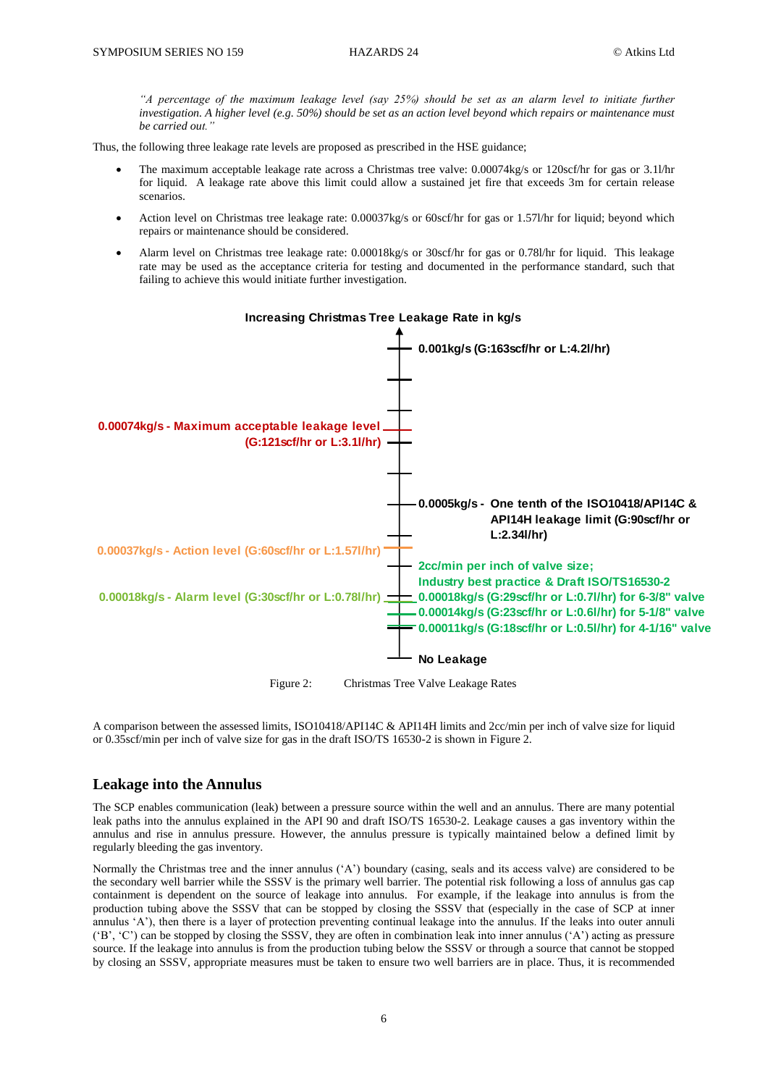*"A percentage of the maximum leakage level (say 25%) should be set as an alarm level to initiate further investigation. A higher level (e.g. 50%) should be set as an action level beyond which repairs or maintenance must be carried out."*

Thus, the following three leakage rate levels are proposed as prescribed in the HSE guidance;

- The maximum acceptable leakage rate across a Christmas tree valve: 0.00074kg/s or 120scf/hr for gas or 3.1l/hr for liquid. A leakage rate above this limit could allow a sustained jet fire that exceeds 3m for certain release scenarios.
- Action level on Christmas tree leakage rate: 0.00037kg/s or 60scf/hr for gas or 1.57l/hr for liquid; beyond which repairs or maintenance should be considered.
- Alarm level on Christmas tree leakage rate: 0.00018kg/s or 30scf/hr for gas or 0.78l/hr for liquid. This leakage rate may be used as the acceptance criteria for testing and documented in the performance standard, such that failing to achieve this would initiate further investigation.



Figure 2: Christmas Tree Valve Leakage Rates

A comparison between the assessed limits, ISO10418/API14C & API14H limits and 2cc/min per inch of valve size for liquid or 0.35scf/min per inch of valve size for gas in the draft ISO/TS 16530-2 is shown in Figure 2.

## **Leakage into the Annulus**

The SCP enables communication (leak) between a pressure source within the well and an annulus. There are many potential leak paths into the annulus explained in the API 90 and draft ISO/TS 16530-2. Leakage causes a gas inventory within the annulus and rise in annulus pressure. However, the annulus pressure is typically maintained below a defined limit by regularly bleeding the gas inventory.

Normally the Christmas tree and the inner annulus ('A') boundary (casing, seals and its access valve) are considered to be the secondary well barrier while the SSSV is the primary well barrier. The potential risk following a loss of annulus gas cap containment is dependent on the source of leakage into annulus. For example, if the leakage into annulus is from the production tubing above the SSSV that can be stopped by closing the SSSV that (especially in the case of SCP at inner annulus 'A'), then there is a layer of protection preventing continual leakage into the annulus. If the leaks into outer annuli ('B', 'C') can be stopped by closing the SSSV, they are often in combination leak into inner annulus ('A') acting as pressure source. If the leakage into annulus is from the production tubing below the SSSV or through a source that cannot be stopped by closing an SSSV, appropriate measures must be taken to ensure two well barriers are in place. Thus, it is recommended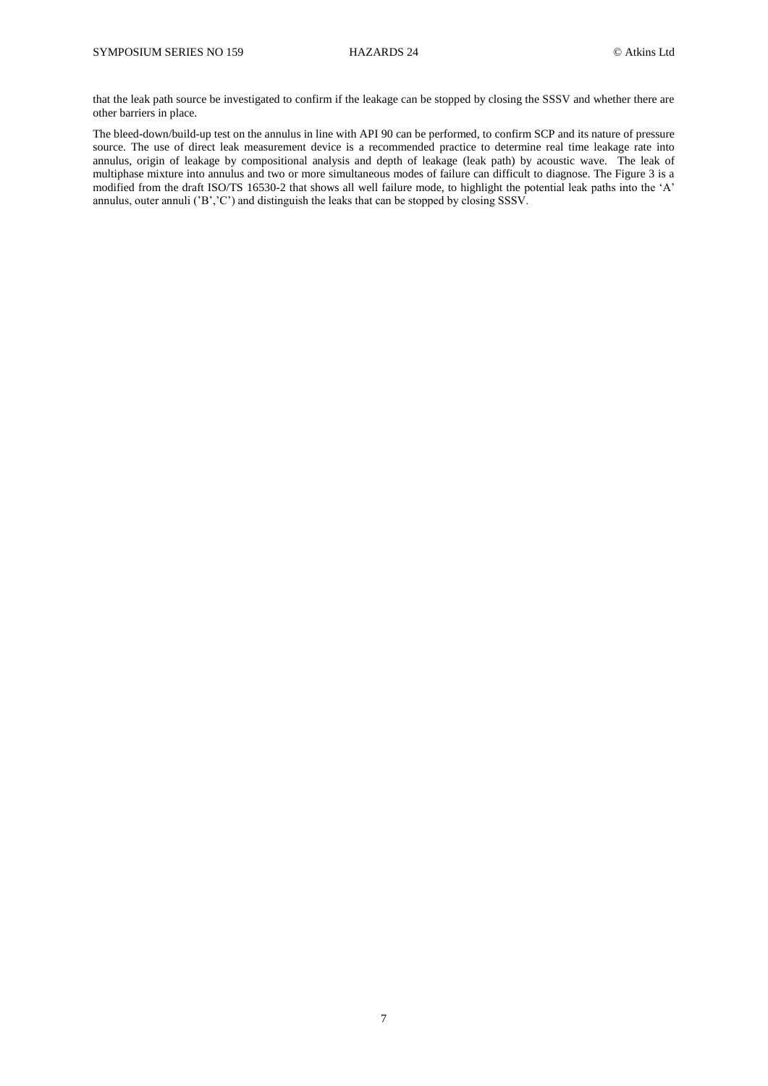that the leak path source be investigated to confirm if the leakage can be stopped by closing the SSSV and whether there are other barriers in place.

The bleed-down/build-up test on the annulus in line with API 90 can be performed, to confirm SCP and its nature of pressure source. The use of direct leak measurement device is a recommended practice to determine real time leakage rate into annulus, origin of leakage by compositional analysis and depth of leakage (leak path) by acoustic wave. The leak of multiphase mixture into annulus and two or more simultaneous modes of failure can difficult to diagnose. The Figure 3 is a modified from the draft ISO/TS 16530-2 that shows all well failure mode, to highlight the potential leak paths into the 'A' annulus, outer annuli ('B','C') and distinguish the leaks that can be stopped by closing SSSV.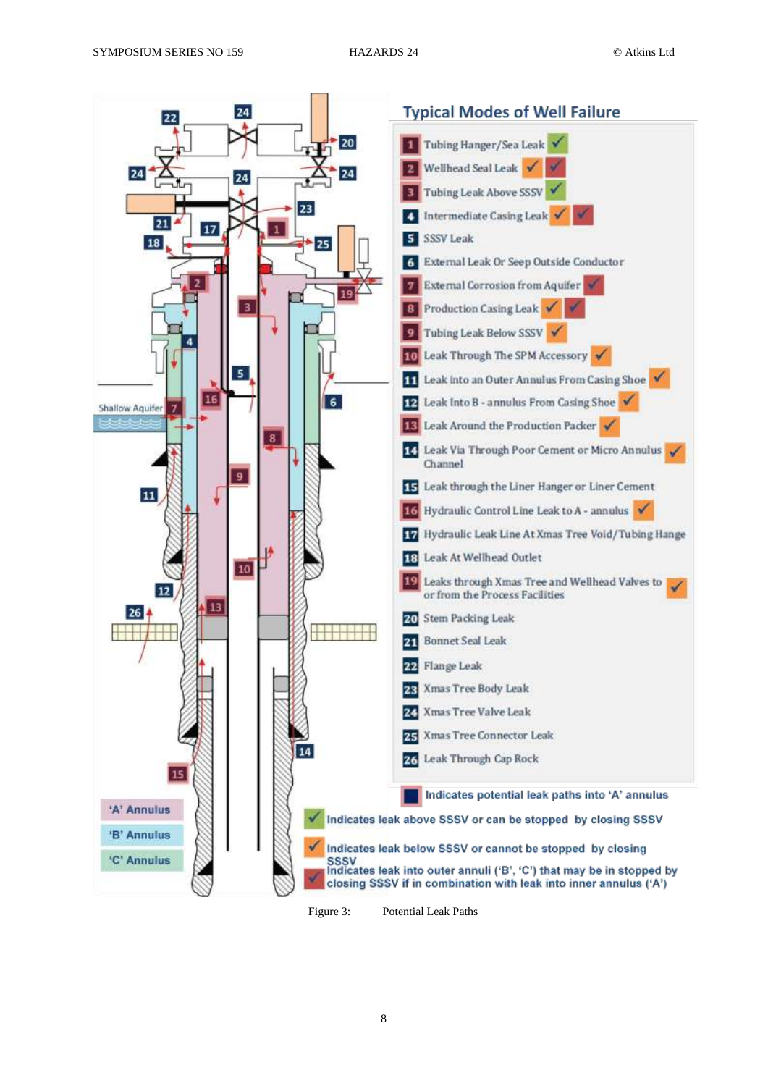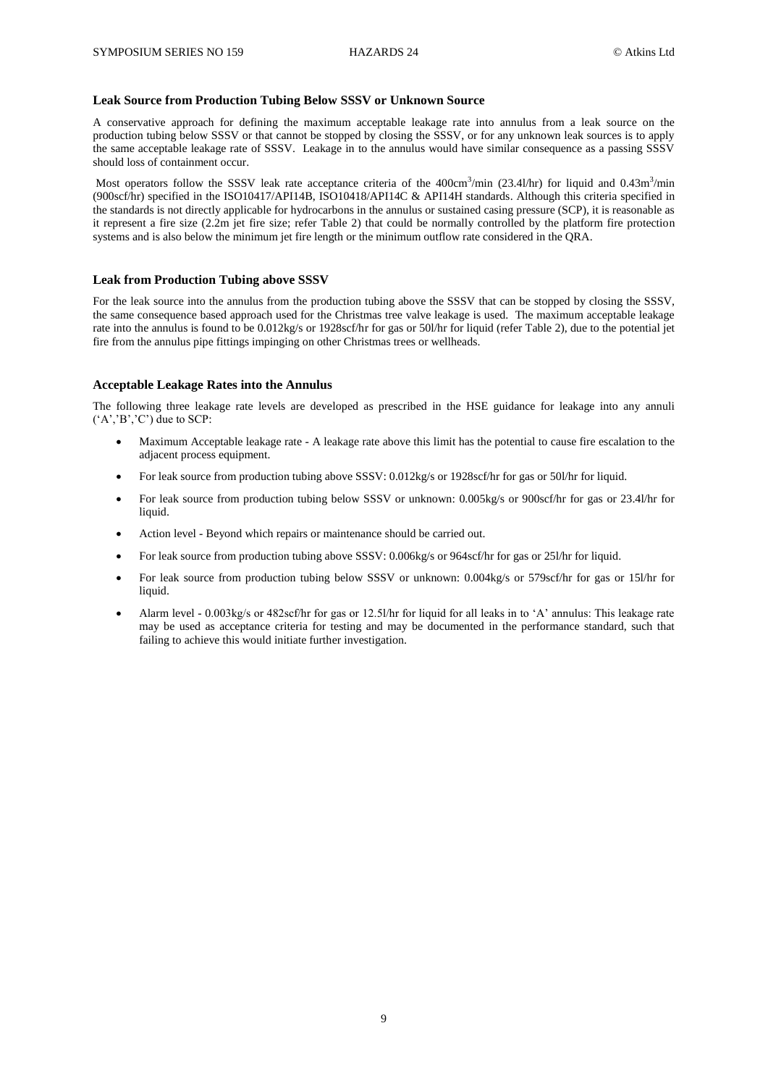## **Leak Source from Production Tubing Below SSSV or Unknown Source**

A conservative approach for defining the maximum acceptable leakage rate into annulus from a leak source on the production tubing below SSSV or that cannot be stopped by closing the SSSV, or for any unknown leak sources is to apply the same acceptable leakage rate of SSSV. Leakage in to the annulus would have similar consequence as a passing SSSV should loss of containment occur.

Most operators follow the SSSV leak rate acceptance criteria of the 400cm<sup>3</sup>/min (23.4l/hr) for liquid and 0.43m<sup>3</sup>/min (900scf/hr) specified in the ISO10417/API14B, ISO10418/API14C & API14H standards. Although this criteria specified in the standards is not directly applicable for hydrocarbons in the annulus or sustained casing pressure (SCP), it is reasonable as it represent a fire size (2.2m jet fire size; refer Table 2) that could be normally controlled by the platform fire protection systems and is also below the minimum jet fire length or the minimum outflow rate considered in the QRA.

#### **Leak from Production Tubing above SSSV**

For the leak source into the annulus from the production tubing above the SSSV that can be stopped by closing the SSSV, the same consequence based approach used for the Christmas tree valve leakage is used. The maximum acceptable leakage rate into the annulus is found to be 0.012kg/s or 1928scf/hr for gas or 50l/hr for liquid (refer Table 2), due to the potential jet fire from the annulus pipe fittings impinging on other Christmas trees or wellheads.

#### **Acceptable Leakage Rates into the Annulus**

The following three leakage rate levels are developed as prescribed in the HSE guidance for leakage into any annuli  $(^{\circ}A^{\circ}, ^{\circ}B^{\circ}, ^{\circ}C^{\circ})$  due to SCP:

- Maximum Acceptable leakage rate A leakage rate above this limit has the potential to cause fire escalation to the adjacent process equipment.
- For leak source from production tubing above SSSV: 0.012kg/s or 1928scf/hr for gas or 50l/hr for liquid.
- For leak source from production tubing below SSSV or unknown: 0.005kg/s or 900scf/hr for gas or 23.4l/hr for liquid.
- Action level Beyond which repairs or maintenance should be carried out.
- For leak source from production tubing above SSSV: 0.006kg/s or 964scf/hr for gas or 251/hr for liquid.
- For leak source from production tubing below SSSV or unknown: 0.004kg/s or 579scf/hr for gas or 15l/hr for liquid.
- Alarm level 0.003kg/s or 482scf/hr for gas or 12.5l/hr for liquid for all leaks in to 'A' annulus: This leakage rate may be used as acceptance criteria for testing and may be documented in the performance standard, such that failing to achieve this would initiate further investigation.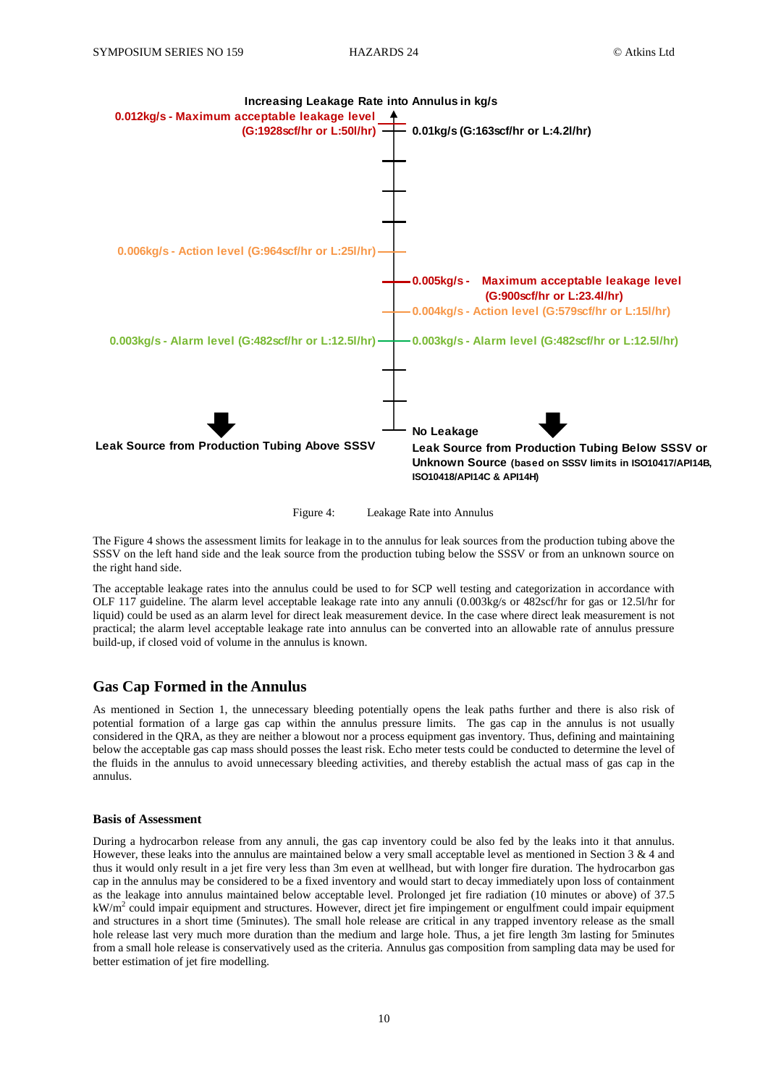



The Figure 4 shows the assessment limits for leakage in to the annulus for leak sources from the production tubing above the SSSV on the left hand side and the leak source from the production tubing below the SSSV or from an unknown source on the right hand side.

The acceptable leakage rates into the annulus could be used to for SCP well testing and categorization in accordance with OLF 117 guideline. The alarm level acceptable leakage rate into any annuli (0.003kg/s or 482scf/hr for gas or 12.5l/hr for liquid) could be used as an alarm level for direct leak measurement device. In the case where direct leak measurement is not practical; the alarm level acceptable leakage rate into annulus can be converted into an allowable rate of annulus pressure build-up, if closed void of volume in the annulus is known.

## **Gas Cap Formed in the Annulus**

As mentioned in Section 1, the unnecessary bleeding potentially opens the leak paths further and there is also risk of potential formation of a large gas cap within the annulus pressure limits. The gas cap in the annulus is not usually considered in the QRA, as they are neither a blowout nor a process equipment gas inventory. Thus, defining and maintaining below the acceptable gas cap mass should posses the least risk. Echo meter tests could be conducted to determine the level of the fluids in the annulus to avoid unnecessary bleeding activities, and thereby establish the actual mass of gas cap in the annulus.

#### **Basis of Assessment**

During a hydrocarbon release from any annuli, the gas cap inventory could be also fed by the leaks into it that annulus. However, these leaks into the annulus are maintained below a very small acceptable level as mentioned in Section 3 & 4 and thus it would only result in a jet fire very less than 3m even at wellhead, but with longer fire duration. The hydrocarbon gas cap in the annulus may be considered to be a fixed inventory and would start to decay immediately upon loss of containment as the leakage into annulus maintained below acceptable level. Prolonged jet fire radiation (10 minutes or above) of 37.5  $kW/m<sup>2</sup>$  could impair equipment and structures. However, direct jet fire impingement or engulfment could impair equipment and structures in a short time (5minutes). The small hole release are critical in any trapped inventory release as the small hole release last very much more duration than the medium and large hole. Thus, a jet fire length 3m lasting for 5minutes from a small hole release is conservatively used as the criteria. Annulus gas composition from sampling data may be used for better estimation of jet fire modelling.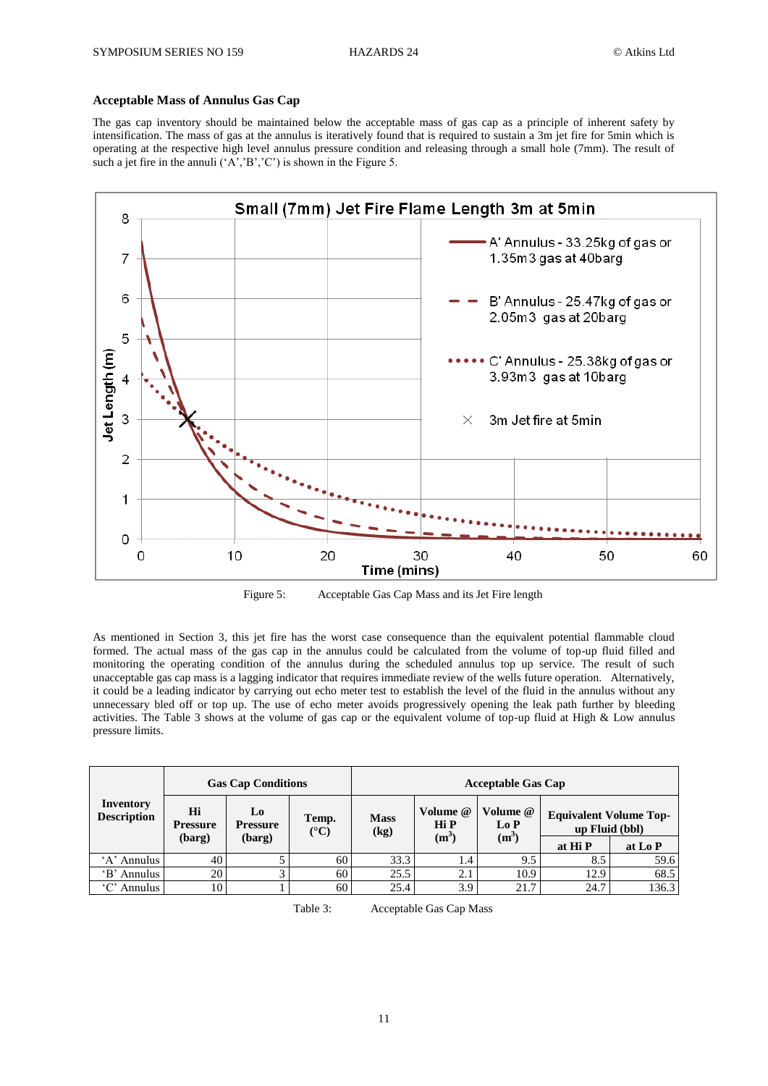# **Acceptable Mass of Annulus Gas Cap**

The gas cap inventory should be maintained below the acceptable mass of gas cap as a principle of inherent safety by intensification. The mass of gas at the annulus is iteratively found that is required to sustain a 3m jet fire for 5min which is operating at the respective high level annulus pressure condition and releasing through a small hole (7mm). The result of such a jet fire in the annuli  $(A', B', C')$  is shown in the Figure 5.



Figure 5: Acceptable Gas Cap Mass and its Jet Fire length

As mentioned in Section 3, this jet fire has the worst case consequence than the equivalent potential flammable cloud formed. The actual mass of the gas cap in the annulus could be calculated from the volume of top-up fluid filled and monitoring the operating condition of the annulus during the scheduled annulus top up service. The result of such unacceptable gas cap mass is a lagging indicator that requires immediate review of the wells future operation. Alternatively, it could be a leading indicator by carrying out echo meter test to establish the level of the fluid in the annulus without any unnecessary bled off or top up. The use of echo meter avoids progressively opening the leak path further by bleeding activities. The Table 3 shows at the volume of gas cap or the equivalent volume of top-up fluid at High  $\&$  Low annulus pressure limits.

| Inventory<br><b>Description</b> | <b>Gas Cap Conditions</b> |                       |                          | <b>Acceptable Gas Cap</b> |                  |                 |                                                 |         |
|---------------------------------|---------------------------|-----------------------|--------------------------|---------------------------|------------------|-----------------|-------------------------------------------------|---------|
|                                 | Hi<br><b>Pressure</b>     | Lo<br><b>Pressure</b> | Temp.<br>$({}^{\circ}C)$ | <b>Mass</b><br>(kg)       | Volume @<br>Hi P | Volume @<br>LoP | <b>Equivalent Volume Top-</b><br>up Fluid (bbl) |         |
|                                 | (barg)                    | (barg)                |                          |                           | $(m^3)$          | $(m^3)$         | at Hi P                                         | at Lo P |
| 'A' Annulus                     | 40                        |                       | 60                       | 33.3                      | 1.4              | 9.5             | 8.5                                             | 59.6    |
| 'B' Annulus                     | 20                        | 3                     | 60                       | 25.5                      | 2.1              | 10.9            | 12.9                                            | 68.5    |
| 'C' Annulus                     | 10                        |                       | 60                       | 25.4                      | 3.9              | 21.7            | 24.7                                            | 136.3   |

Table 3: Acceptable Gas Cap Mass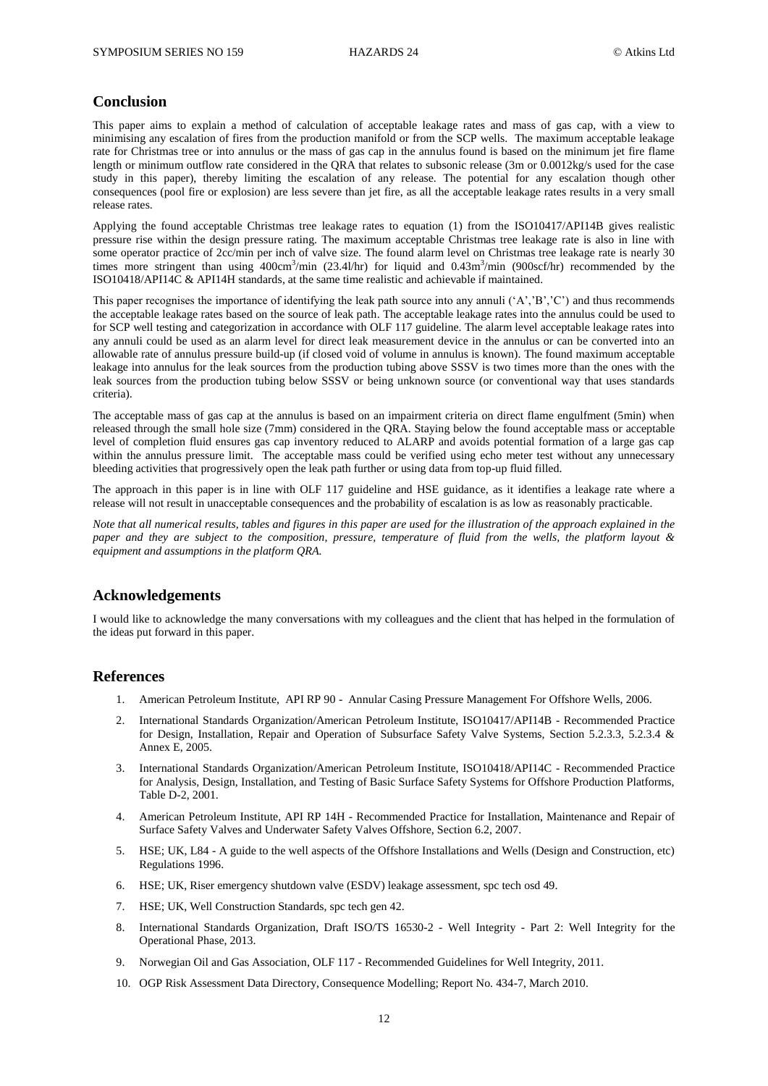# **Conclusion**

This paper aims to explain a method of calculation of acceptable leakage rates and mass of gas cap, with a view to minimising any escalation of fires from the production manifold or from the SCP wells. The maximum acceptable leakage rate for Christmas tree or into annulus or the mass of gas cap in the annulus found is based on the minimum jet fire flame length or minimum outflow rate considered in the QRA that relates to subsonic release (3m or 0.0012kg/s used for the case study in this paper), thereby limiting the escalation of any release. The potential for any escalation though other consequences (pool fire or explosion) are less severe than jet fire, as all the acceptable leakage rates results in a very small release rates.

Applying the found acceptable Christmas tree leakage rates to equation (1) from the ISO10417/API14B gives realistic pressure rise within the design pressure rating. The maximum acceptable Christmas tree leakage rate is also in line with some operator practice of 2cc/min per inch of valve size. The found alarm level on Christmas tree leakage rate is nearly 30 times more stringent than using 400cm<sup>3</sup>/min (23.4l/hr) for liquid and 0.43m<sup>3</sup>/min (900scf/hr) recommended by the ISO10418/API14C & API14H standards, at the same time realistic and achievable if maintained.

This paper recognises the importance of identifying the leak path source into any annuli  $(A', B', C')$  and thus recommends the acceptable leakage rates based on the source of leak path. The acceptable leakage rates into the annulus could be used to for SCP well testing and categorization in accordance with OLF 117 guideline. The alarm level acceptable leakage rates into any annuli could be used as an alarm level for direct leak measurement device in the annulus or can be converted into an allowable rate of annulus pressure build-up (if closed void of volume in annulus is known). The found maximum acceptable leakage into annulus for the leak sources from the production tubing above SSSV is two times more than the ones with the leak sources from the production tubing below SSSV or being unknown source (or conventional way that uses standards criteria).

The acceptable mass of gas cap at the annulus is based on an impairment criteria on direct flame engulfment (5min) when released through the small hole size (7mm) considered in the QRA. Staying below the found acceptable mass or acceptable level of completion fluid ensures gas cap inventory reduced to ALARP and avoids potential formation of a large gas cap within the annulus pressure limit. The acceptable mass could be verified using echo meter test without any unnecessary bleeding activities that progressively open the leak path further or using data from top-up fluid filled.

The approach in this paper is in line with OLF 117 guideline and HSE guidance, as it identifies a leakage rate where a release will not result in unacceptable consequences and the probability of escalation is as low as reasonably practicable.

*Note that all numerical results, tables and figures in this paper are used for the illustration of the approach explained in the paper and they are subject to the composition, pressure, temperature of fluid from the wells, the platform layout & equipment and assumptions in the platform QRA.*

# **Acknowledgements**

I would like to acknowledge the many conversations with my colleagues and the client that has helped in the formulation of the ideas put forward in this paper.

## **References**

- 1. American Petroleum Institute, API RP 90 Annular Casing Pressure Management For Offshore Wells, 2006.
- 2. International Standards Organization/American Petroleum Institute, ISO10417/API14B Recommended Practice for Design, Installation, Repair and Operation of Subsurface Safety Valve Systems, Section 5.2.3.3, 5.2.3.4 & Annex E, 2005.
- 3. International Standards Organization/American Petroleum Institute, ISO10418/API14C Recommended Practice for Analysis, Design, Installation, and Testing of Basic Surface Safety Systems for Offshore Production Platforms, Table D-2, 2001.
- 4. American Petroleum Institute, API RP 14H Recommended Practice for Installation, Maintenance and Repair of Surface Safety Valves and Underwater Safety Valves Offshore, Section 6.2, 2007.
- 5. HSE; UK, L84 A guide to the well aspects of the Offshore Installations and Wells (Design and Construction, etc) Regulations 1996.
- 6. HSE; UK, Riser emergency shutdown valve (ESDV) leakage assessment, spc tech osd 49.
- 7. HSE; UK, Well Construction Standards, spc tech gen 42.
- 8. International Standards Organization, Draft ISO/TS 16530-2 Well Integrity Part 2: Well Integrity for the Operational Phase, 2013.
- 9. Norwegian Oil and Gas Association, OLF 117 Recommended Guidelines for Well Integrity, 2011.
- 10. OGP Risk Assessment Data Directory, Consequence Modelling; Report No. 434-7, March 2010.